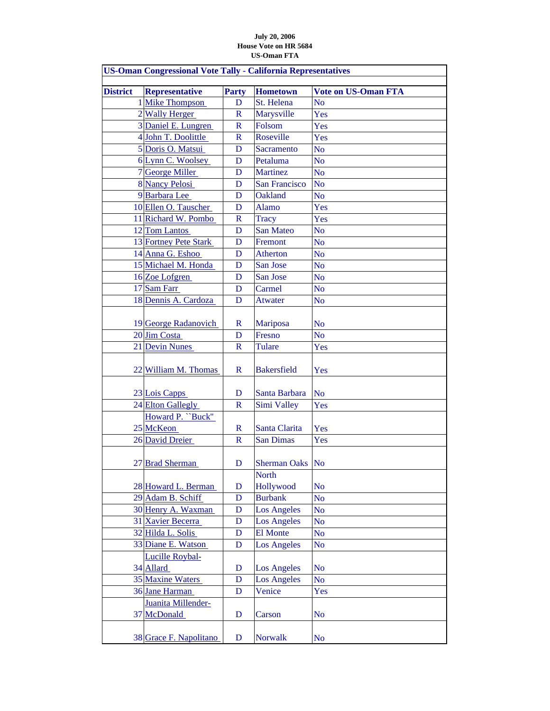## **July 20, 2006 House Vote on HR 5684 US-Oman FTA**

| <b>US-Oman Congressional Vote Tally - California Representatives</b> |                        |                          |                              |                            |  |  |
|----------------------------------------------------------------------|------------------------|--------------------------|------------------------------|----------------------------|--|--|
| <b>District</b>                                                      | <b>Representative</b>  | <b>Party</b>             | <b>Hometown</b>              | <b>Vote on US-Oman FTA</b> |  |  |
|                                                                      | 1 Mike Thompson        | D                        | St. Helena                   | N <sub>o</sub>             |  |  |
|                                                                      | 2 Wally Herger         | $\mathbf R$              | Marysville                   | Yes                        |  |  |
|                                                                      | 3 Daniel E. Lungren    | $\mathbf R$              | Folsom                       | Yes                        |  |  |
|                                                                      | 4 John T. Doolittle    | $\mathbf R$              | Roseville                    | Yes                        |  |  |
|                                                                      | 5 Doris O. Matsui      | D                        | Sacramento                   | N <sub>o</sub>             |  |  |
|                                                                      | 6 Lynn C. Woolsey      | D                        | Petaluma                     | N <sub>o</sub>             |  |  |
|                                                                      | 7 George Miller        | D                        | <b>Martinez</b>              | N <sub>o</sub>             |  |  |
|                                                                      | 8 Nancy Pelosi         | D                        | San Francisco                | N <sub>o</sub>             |  |  |
|                                                                      | 9 Barbara Lee          | D                        | Oakland                      | N <sub>o</sub>             |  |  |
|                                                                      | 10 Ellen O. Tauscher   | D                        | Alamo                        | Yes                        |  |  |
|                                                                      | 11 Richard W. Pombo    | $\overline{\mathsf{R}}$  | <b>Tracy</b>                 | Yes                        |  |  |
|                                                                      | 12 Tom Lantos          | D                        | San Mateo                    | N <sub>o</sub>             |  |  |
|                                                                      | 13 Fortney Pete Stark  | D                        | Fremont                      | N <sub>o</sub>             |  |  |
|                                                                      | 14 Anna G. Eshoo       | D                        | Atherton                     | N <sub>o</sub>             |  |  |
|                                                                      | 15 Michael M. Honda    | D                        | San Jose                     | N <sub>o</sub>             |  |  |
|                                                                      | 16 Zoe Lofgren         | D                        | San Jose                     | N <sub>o</sub>             |  |  |
|                                                                      | 17 Sam Farr            | D                        | Carmel                       | N <sub>o</sub>             |  |  |
|                                                                      | 18 Dennis A. Cardoza   | D                        | Atwater                      | N <sub>o</sub>             |  |  |
|                                                                      |                        |                          |                              |                            |  |  |
|                                                                      | 19 George Radanovich   | $\mathbf R$              | Mariposa                     | N <sub>o</sub>             |  |  |
|                                                                      | 20 Jim Costa           | D                        | Fresno                       | N <sub>o</sub>             |  |  |
|                                                                      | 21 Devin Nunes         | $\mathbf R$              | <b>Tulare</b>                | Yes                        |  |  |
|                                                                      |                        |                          |                              |                            |  |  |
|                                                                      | 22 William M. Thomas   | $\mathbf R$              | <b>Bakersfield</b>           | Yes                        |  |  |
|                                                                      |                        |                          |                              |                            |  |  |
|                                                                      | 23 Lois Capps          | D                        | Santa Barbara                | N <sub>o</sub>             |  |  |
|                                                                      | 24 Elton Gallegly      | $\mathbb{R}$             | Simi Valley                  | Yes                        |  |  |
|                                                                      | Howard P. "Buck"       |                          |                              |                            |  |  |
|                                                                      | 25 McKeon              | $\mathbf R$              | Santa Clarita                | Yes                        |  |  |
|                                                                      | 26 David Dreier        | $\overline{\mathsf{R}}$  | <b>San Dimas</b>             | Yes                        |  |  |
|                                                                      |                        |                          |                              |                            |  |  |
|                                                                      | 27 Brad Sherman        | D                        | Sherman Oaks No              |                            |  |  |
|                                                                      |                        |                          | <b>North</b>                 |                            |  |  |
|                                                                      | 28 Howard L. Berman    | D                        | Hollywood                    | N <sub>o</sub>             |  |  |
|                                                                      | 29 Adam B. Schiff      | D                        | <b>Burbank</b>               | N <sub>o</sub>             |  |  |
|                                                                      | 30 Henry A. Waxman     | D                        | <b>Los Angeles</b>           | N <sub>0</sub>             |  |  |
|                                                                      | 31 Xavier Becerra      | D                        | <b>Los Angeles</b>           | N <sub>o</sub>             |  |  |
|                                                                      | 32 Hilda L. Solis      | D                        | El Monte                     | N <sub>o</sub>             |  |  |
|                                                                      | 33 Diane E. Watson     | $\mathbf D$              | <b>Los Angeles</b>           | N <sub>o</sub>             |  |  |
|                                                                      | <b>Lucille Roybal-</b> |                          |                              |                            |  |  |
|                                                                      | 34 Allard              | D                        | <b>Los Angeles</b>           | N <sub>o</sub>             |  |  |
|                                                                      | 35 Maxine Waters       | ${\bf D}$<br>$\mathbf D$ | <b>Los Angeles</b><br>Venice | <b>No</b>                  |  |  |
|                                                                      | 36 Jane Harman         |                          |                              | Yes                        |  |  |
|                                                                      | Juanita Millender-     |                          |                              |                            |  |  |
|                                                                      | 37 McDonald            | D                        | Carson                       | N <sub>o</sub>             |  |  |
|                                                                      |                        |                          |                              |                            |  |  |
|                                                                      | 38 Grace F. Napolitano | D                        | <b>Norwalk</b>               | N <sub>o</sub>             |  |  |